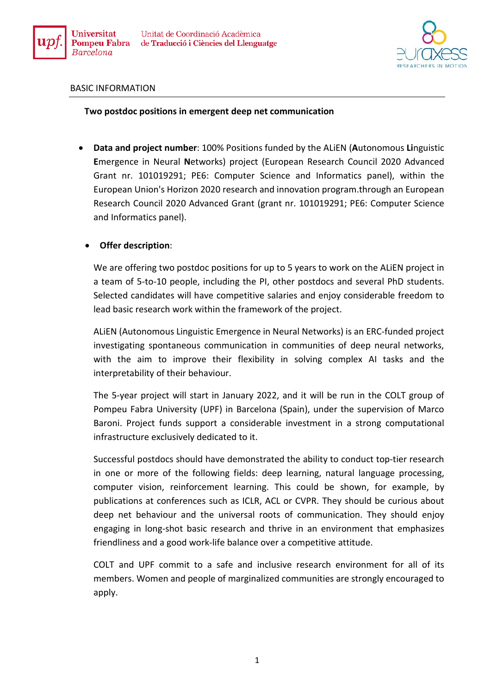



## BASIC INFORMATION

## **Two postdoc positions in emergent deep net communication**

• **Data and project number**: 100% Positions funded by the ALiEN (**A**utonomous **Li**nguistic **E**mergence in Neural **N**etworks) project (European Research Council 2020 Advanced Grant nr. 101019291; PE6: Computer Science and Informatics panel), within the European Union's Horizon 2020 research and innovation program.through an European Research Council 2020 Advanced Grant (grant nr. 101019291; PE6: Computer Science and Informatics panel).

## • **Offer description**:

We are offering two postdoc positions for up to 5 years to work on the ALiEN project in a team of 5-to-10 people, including the PI, other postdocs and several PhD students. Selected candidates will have competitive salaries and enjoy considerable freedom to lead basic research work within the framework of the project.

ALiEN (Autonomous Linguistic Emergence in Neural Networks) is an ERC-funded project investigating spontaneous communication in communities of deep neural networks, with the aim to improve their flexibility in solving complex AI tasks and the interpretability of their behaviour.

The 5-year project will start in January 2022, and it will be run in the COLT group of Pompeu Fabra University (UPF) in Barcelona (Spain), under the supervision of Marco Baroni. Project funds support a considerable investment in a strong computational infrastructure exclusively dedicated to it.

Successful postdocs should have demonstrated the ability to conduct top-tier research in one or more of the following fields: deep learning, natural language processing, computer vision, reinforcement learning. This could be shown, for example, by publications at conferences such as ICLR, ACL or CVPR. They should be curious about deep net behaviour and the universal roots of communication. They should enjoy engaging in long-shot basic research and thrive in an environment that emphasizes friendliness and a good work-life balance over a competitive attitude.

COLT and UPF commit to a safe and inclusive research environment for all of its members. Women and people of marginalized communities are strongly encouraged to apply.